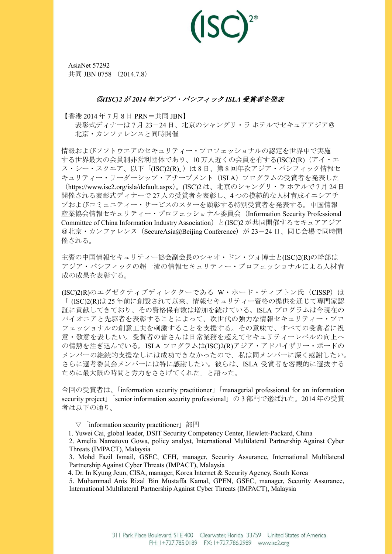AsiaNet 57292 共同 JBN 0758 (2014.7.8)

## ◎*(ISC)2* が *2014* 年アジア・パシフィック *ISLA* 受賞者を発表

【香港 2014 年 7 月 8 日 PRN=共同 JBN】

表彰式ディナーは 7 月 23-24 日、北京のシャングリ・ラ ホテルでセキュアアジア@ 北京・カンファレンスと同時開催

情報およびソフトウエアのセキュリティー・プロフェッショナルの認定を世界中で実施 する世界最大の会員制非営利団体であり、10万人近くの会員を有する(ISC)2(R)(アイ・エ ス・シー・スクエア、以下「(ISC)2(R)」)は8日、第8回年次アジア・パシフィック情報セ キュリティー・リーダーシップ・アチーブメント (ISLA) プログラムの受賞者を発表した (https://www.isc2.org/isla/default.aspx)。(ISC)2 は、北京のシャングリ・ラ ホテルで 7 月 24 日 開催される表彰式ディナーで 27 人の受賞者を表彰し、4 つの模範的な人材育成イニシアチ ブおよびコミュニティー・サービスのスターを顕彰する特別受賞者を発表する。中国情報 産業協会情報セキュリティー・プロフェッショナル委員会(Information Security Professional Committee of China Information Industry Association)と(ISC)2 が共同開催するセキュアアジア @北京・カンファレンス (SecureAsia@Beijing Conference)が 23-24 日、同じ会場で同時開 催される。

主賓の中国情報セキュリティー協会副会長のシャオ・ドン・ツォ博士と(ISC)2(R)の幹部は アジア・パシフィックの超一流の情報セキュリティー・プロフェッショナルによる人材育 成の成果を表彰する。

(ISC)2(R)のエグゼクティブディレクターである W・ホード・ティプトン氏 (CISSP) は 「 (ISC)2(R)は 25 年前に創設されて以来、情報セキュリティー資格の提供を通じて専門家認 証に貢献してきており、その資格保有数は増加を続けている。ISLA プログラムは今現在の パイオニアと先駆者を表彰することによって、次世代の強力な情報セキュリティー・プロ フェッショナルの創意工夫を刺激することを支援する。その意味で、すべての受賞者に祝 意・敬意を表したい。受賞者の皆さんは日常業務を超えてセキュリティーレベルの向上へ の情熱を注ぎ込んでいる。ISLA プログラムは(ISC)2(R)アジア・アドバイザリー・ボードの メンバーの継続的支援なしには成功できなかったので、私は同メンバーに深く感謝したい。 さらに選考委員会メンバーには特に感謝したい。彼らは、ISLA 受賞者を客観的に選抜する ために最大限の時間と労力をささげてくれた」と語った。

今回の受賞者は、「information security practitioner」「managerial professional for an information security project」「senior information security professional」の 3 部門で選ばれた。2014 年の受賞 者は以下の通り。

 $\nabla$  「information security practitioner」部門

1. Yuwei Cai, global leader, DSIT Security Competency Center, Hewlett-Packard, China

2. Amelia Namatovu Gowa, policy analyst, International Multilateral Partnership Against Cyber Threats (IMPACT), Malaysia

3. Mohd Fazil Ismail, GSEC, CEH, manager, Security Assurance, International Multilateral Partnership Against Cyber Threats (IMPACT), Malaysia

4. Dr. In Kyung Jeun, CISA, manager, Korea Internet & Security Agency, South Korea

5. Muhammad Anis Rizal Bin Mustaffa Kamal, GPEN, GSEC, manager, Security Assurance, International Multilateral Partnership Against Cyber Threats (IMPACT), Malaysia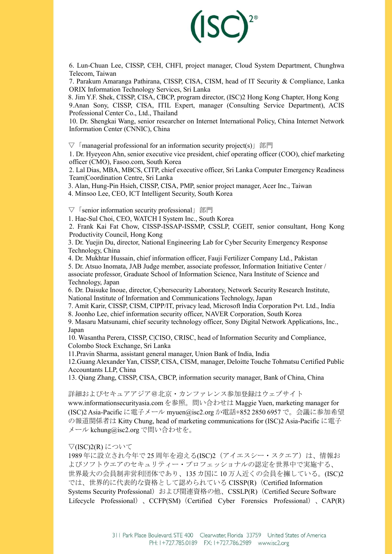

6. Lun-Chuan Lee, CISSP, CEH, CHFI, project manager, Cloud System Department, Chunghwa Telecom, Taiwan

7. Parakum Amaranga Pathirana, CISSP, CISA, CISM, head of IT Security & Compliance, Lanka ORIX Information Technology Services, Sri Lanka

8. Jim Y.F. Shek, CISSP, CISA, CBCP, program director, (ISC)2 Hong Kong Chapter, Hong Kong 9.Anan Sony, CISSP, CISA, ITIL Expert, manager (Consulting Service Department), ACIS Professional Center Co., Ltd., Thailand

10. Dr. Shengkai Wang, senior researcher on Internet International Policy, China Internet Network Information Center (CNNIC), China

 $\nabla$  [managerial professional for an information security project(s)  $\parallel$  部門

1. Dr. Hyeyeon Ahn, senior executive vice president, chief operating officer (COO), chief marketing officer (CMO), Fasoo.com, South Korea

2. Lal Dias, MBA, MBCS, CITP, chief executive officer, Sri Lanka Computer Emergency Readiness Team|Coordination Centre, Sri Lanka

3. Alan, Hung-Pin Hsieh, CISSP, CISA, PMP, senior project manager, Acer Inc., Taiwan

4. Minsoo Lee, CEO, ICT Intelligent Security, South Korea

 $\nabla$  「senior information security professional」部門

1. Hae-Sul Choi, CEO, WATCH I System Inc., South Korea

2. Frank Kai Fat Chow, CISSP-ISSAP-ISSMP, CSSLP, CGEIT, senior consultant, Hong Kong Productivity Council, Hong Kong

3. Dr. Yuejin Du, director, National Engineering Lab for Cyber Security Emergency Response Technology, China

4. Dr. Mukhtar Hussain, chief information officer, Fauji Fertilizer Company Ltd., Pakistan 5. Dr. Atsuo Inomata, JAB Judge member, associate professor, Information Initiative Center / associate professor, Graduate School of Information Science, Nara Institute of Science and Technology, Japan

6. Dr. Daisuke Inoue, director, Cybersecurity Laboratory, Network Security Research Institute, National Institute of Information and Communications Technology, Japan

7. Amit Karir, CISSP, CISM, CIPP/IT, privacy lead, Microsoft India Corporation Pvt. Ltd., India 8. Joonho Lee, chief information security officer, NAVER Corporation, South Korea

9. Masaru Matsunami, chief security technology officer, Sony Digital Network Applications, Inc., Japan

10. Wasantha Perera, CISSP, C|CISO, CRISC, head of Information Security and Compliance, Colombo Stock Exchange, Sri Lanka

11.Pravin Sharma, assistant general manager, Union Bank of India, India

12.Guang Alexander Yan, CISSP, CISA, CISM, manager, Deloitte Touche Tohmatsu Certified Public Accountants LLP, China

13. Qiang Zhang, CISSP, CISA, CBCP, information security manager, Bank of China, China

詳細およびセキュアアジア@北京・カンファレンス参加登録はウェブサイト

www.informationsecurityasia.com を参照。問い合わせは Maggie Yuen, marketing manager for (ISC)2 Asia-Pacific に電子メール myuen@isc2.org か電話+852 2850 6957 で。会議に参加希望 の報道関係者は Kitty Chung, head of marketing communications for (ISC)2 Asia-Pacific に電子 メール kchung@isc2.org で問い合わせを。

▽(ISC)2(R) について

1989年に設立され今年で25 周年を迎える(ISC)2 (アイエスシー・スクエア)は、情報お よびソフトウエアのセキュリティー・プロフェッショナルの認定を世界中で実施する、 世界最大の会員制非営利団体であり、135 カ国に 10 万人近くの会員を擁している。(ISC)2 では、世界的に代表的な資格として認められている CISSP(R)(Certified Information Systems Security Professional)および関連資格の他、CSSLP(R)(Certified Secure Software Lifecycle Professional)、CCFP(SM)(Certified Cyber Forensics Professional)、CAP(R)